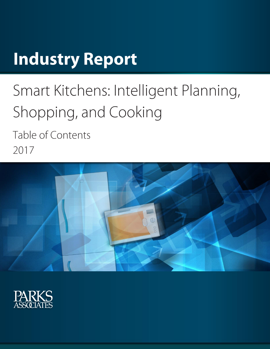# **Industry Report**

# Smart Kitchens: Intelligent Planning, Shopping, and Cooking

Table of Contents 2017



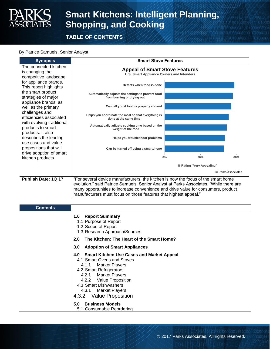

**TABLE OF CONTENTS**

#### By Patrice Samuels, Senior Analyst

**Synopsis Smart Stove Features** The connected kitchen is changing the competitive landscape for appliance brands. This report highlights the smart product strategies of major appliance brands, as well as the primary challenges and efficiencies associated with evolving traditional products to smart products. It also describes the leading use cases and value propositions that will drive adoption of smart kitchen products. **Publish Date:** 1Q 17 | "For several device manufacturers, the kitchen is now the focus of the smart home evolution," said Patrice Samuels, Senior Analyst at Parks Associates. "While there are many opportunities to increase convenience and drive value for consumers, product manufacturers must focus on those features that highest appeal." **0% 30% 60% Can be turned off using a smartphone Helps you troubleshoot problems Automatically adjusts cooking time based on the weight of the food Helps you coordinate the meal so that everything is done at the same time Can tell you if food is properly cooked Automatically adjusts the settings to prevent food from burning or drying out Detects when food is done Appeal of Smart Stove Features U.S. Smart Appliance Owners and Intenders** © Parks Associates **% Rating "Very Appealing"** 

| <b>Contents</b> |                                                                                                                                                                                                                                                               |
|-----------------|---------------------------------------------------------------------------------------------------------------------------------------------------------------------------------------------------------------------------------------------------------------|
|                 | <b>Report Summary</b><br>1.0<br>1.1 Purpose of Report<br>1.2 Scope of Report<br>1.3 Research Approach/Sources                                                                                                                                                 |
|                 | The Kitchen: The Heart of the Smart Home?<br>2.0                                                                                                                                                                                                              |
|                 | <b>Adoption of Smart Appliances</b><br>3.0 <sub>2</sub>                                                                                                                                                                                                       |
|                 | 4.0 Smart Kitchen Use Cases and Market Appeal<br>4.1 Smart Ovens and Stoves<br>4.1.1 Market Players<br>4.2 Smart Refrigerators<br>4.2.1 Market Players<br>4.2.2 Value Proposition<br>4.3 Smart Dishwashers<br>4.3.1 Market Players<br>4.3.2 Value Proposition |
|                 | <b>Business Models</b><br>5.0                                                                                                                                                                                                                                 |
|                 | 5.1 Consumable Reordering                                                                                                                                                                                                                                     |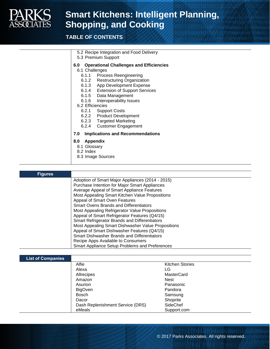

## **Smart Kitchens: Intelligent Planning, Shopping, and Cooking**

### **TABLE OF CONTENTS**

| 5.2 Recipe Integration and Food Delivery |  |
|------------------------------------------|--|
|------------------------------------------|--|

5.3 Premium Support

**6.0 Operational Challenges and Efficiencies**

6.1 Challenges

- 6.1.1 Process Reengineering
- 6.1.2 Restructuring Organization
- 6.1.3 App Development Expense<br>6.1.4 Extension of Support Servic
- **Extension of Support Services**
- 6.1.5 Data Management
- 6.1.6 Interoperability Issues
- 6.2 Efficiencies
	- 6.2.1 Support Costs
	- 6.2.2 Product Development
	- 6.2.3 Targeted Marketing
	- 6.2.4 Customer Engagement

#### **7.0 Implications and Recommendations**

#### **8.0 Appendix**

- 8.1 Glossary
- 8.2 Index
- 8.3 Image Sources

#### **Figures** Adoption of Smart Major Appliances (2014 - 2015) Purchase Intention for Major Smart Appliances Average Appeal of Smart Appliance Features Most Appealing Smart Kitchen Value Propositions Appeal of Smart Oven Features Smart Ovens Brands and Differentiators Most Appealing Refrigerator Value Propositions Appeal of Smart Refrigerator Features (Q4/15) Smart Refrigerator Brands and Differentiators Most Appealing Smart Dishwasher Value Propositions Appeal of Smart Dishwasher Features (Q4/15) Smart Dishwasher Brands and Differentiators Recipe Apps Available to Consumers Smart Appliance Setup Problems and Preferences

| <b>List of Companies</b> |                                  |                        |
|--------------------------|----------------------------------|------------------------|
|                          | Alfie                            | <b>Kitchen Stories</b> |
|                          | Alexa                            | LG                     |
|                          | Allrecipes                       | <b>MasterCard</b>      |
|                          | Amazon                           | <b>Nest</b>            |
|                          | Asurion                          | Panasonic              |
|                          | <b>BigOven</b>                   | Pandora                |
|                          | Bosch                            | Samsung                |
|                          | Dacor                            | Shoprite               |
|                          | Dash Replenishment Service (DRS) | SideChef               |
|                          | eMeals                           | Support.com            |